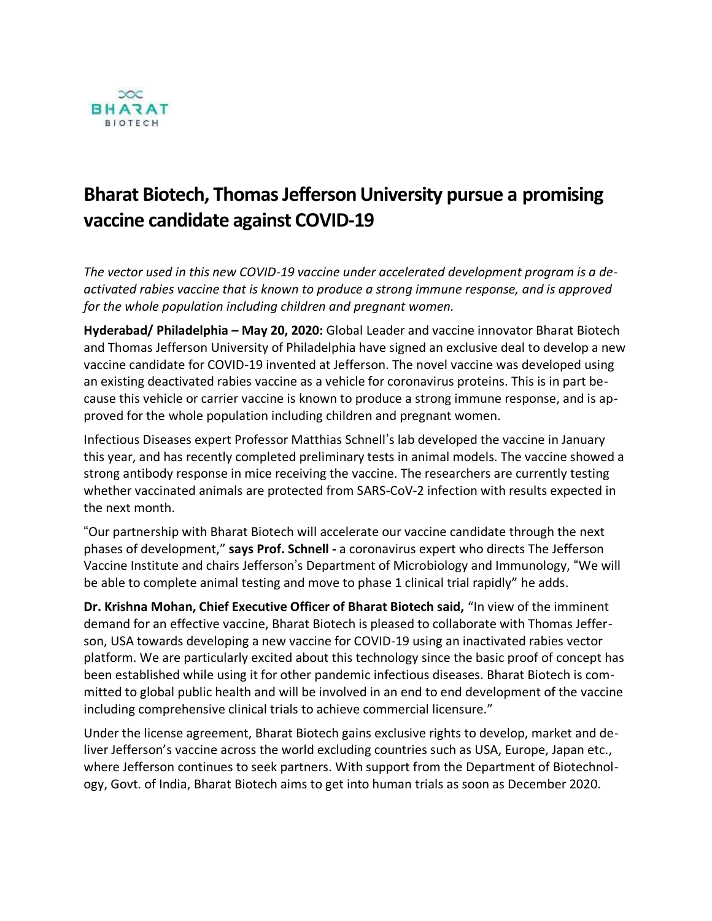

## **Bharat Biotech, Thomas Jefferson University pursue a promising vaccine candidate against COVID-19**

*The vector used in this new COVID-19 vaccine under accelerated development program is a deactivated rabies vaccine that is known to produce a strong immune response, and is approved for the whole population including children and pregnant women.*

**Hyderabad/ Philadelphia – May 20, 2020:** Global Leader and vaccine innovator Bharat Biotech and Thomas Jefferson University of Philadelphia have signed an exclusive deal to develop a new vaccine candidate for COVID-19 invented at Jefferson. The novel vaccine was developed using an existing deactivated rabies vaccine as a vehicle for coronavirus proteins. This is in part because this vehicle or carrier vaccine is known to produce a strong immune response, and is approved for the whole population including children and pregnant women.

Infectious Diseases expert Professor Matthias Schnell's lab developed the vaccine in January this year, and has recently completed preliminary tests in animal models. The vaccine showed a strong antibody response in mice receiving the vaccine. The researchers are currently testing whether vaccinated animals are protected from SARS-CoV-2 infection with results expected in the next month.

"Our partnership with Bharat Biotech will accelerate our vaccine candidate through the next phases of development," **says Prof. Schnell -** a coronavirus expert who directs The Jefferson Vaccine Institute and chairs Jefferson's Department of Microbiology and Immunology, "We will be able to complete animal testing and move to phase 1 clinical trial rapidly" he adds.

**Dr. Krishna Mohan, Chief Executive Officer of Bharat Biotech said,** "In view of the imminent demand for an effective vaccine, Bharat Biotech is pleased to collaborate with Thomas Jefferson, USA towards developing a new vaccine for COVID-19 using an inactivated rabies vector platform. We are particularly excited about this technology since the basic proof of concept has been established while using it for other pandemic infectious diseases. Bharat Biotech is committed to global public health and will be involved in an end to end development of the vaccine including comprehensive clinical trials to achieve commercial licensure."

Under the license agreement, Bharat Biotech gains exclusive rights to develop, market and deliver Jefferson's vaccine across the world excluding countries such as USA, Europe, Japan etc., where Jefferson continues to seek partners. With support from the Department of Biotechnology, Govt. of India, Bharat Biotech aims to get into human trials as soon as December 2020.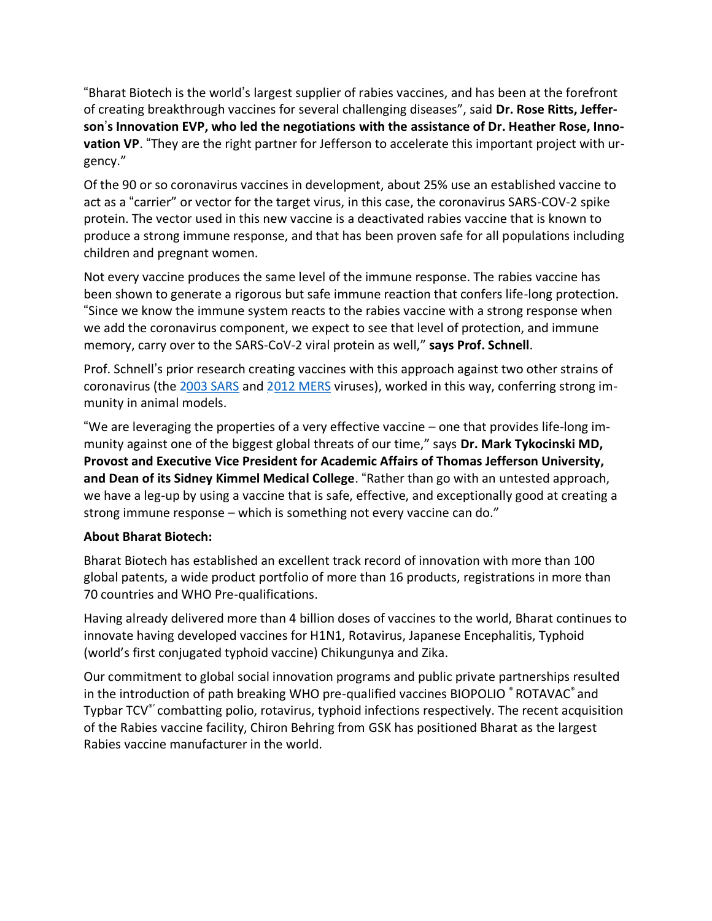"Bharat Biotech is the world's largest supplier of rabies vaccines, and has been at the forefront of creating breakthrough vaccines for several challenging diseases", said **Dr. Rose Ritts, Jefferson**'**s Innovation EVP, who led the negotiations with the assistance of Dr. Heather Rose, Innovation VP**. "They are the right partner for Jefferson to accelerate this important project with urgency."

Of the 90 or so coronavirus vaccines in development, about 25% use an established vaccine to act as a "carrier" or vector for the target virus, in this case, the coronavirus SARS-COV-2 spike protein. The vector used in this new vaccine is a deactivated rabies vaccine that is known to produce a strong immune response, and that has been proven safe for all populations including children and pregnant women.

Not every vaccine produces the same level of the immune response. The rabies vaccine has been shown to generate a rigorous but safe immune reaction that confers life-long protection. "Since we know the immune system reacts to the rabies vaccine with a strong response when we add the coronavirus component, we expect to see that level of protection, and immune memory, carry over to the SARS-CoV-2 viral protein as well," **says Prof. Schnell**.

Prof. Schnell's prior research creating vaccines with this approach against two other strains of coronavirus (the 2003 SARS and 2012 MERS viruses), worked in this way, conferring strong immunity in animal models.

"We are leveraging the properties of a very effective vaccine – one that provides life-long immunity against one of the biggest global threats of our time," says **Dr. Mark Tykocinski MD, Provost and Executive Vice President for Academic Affairs of Thomas Jefferson University, and Dean of its Sidney Kimmel Medical College**. "Rather than go with an untested approach, we have a leg-up by using a vaccine that is safe, effective, and exceptionally good at creating a strong immune response – which is something not every vaccine can do."

## **About Bharat Biotech:**

Bharat Biotech has established an excellent track record of innovation with more than 100 global patents, a wide product portfolio of more than 16 products, registrations in more than 70 countries and WHO Pre-qualifications.

Having already delivered more than 4 billion doses of vaccines to the world, Bharat continues to innovate having developed vaccines for H1N1, Rotavirus, Japanese Encephalitis, Typhoid (world's first conjugated typhoid vaccine) Chikungunya and Zika.

Our commitment to global social innovation programs and public private partnerships resulted in the introduction of path breaking WHO pre-qualified vaccines BIOPOLIO ® ROTAVAC® and Typbar TCV®' combatting polio, rotavirus, typhoid infections respectively. The recent acquisition of the Rabies vaccine facility, Chiron Behring from GSK has positioned Bharat as the largest Rabies vaccine manufacturer in the world.